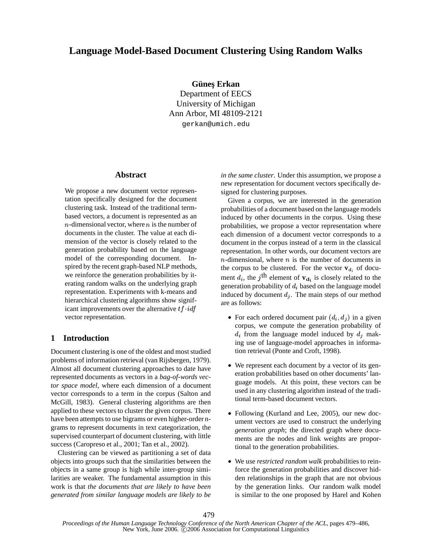# Clustering can be viewed as partitioning a set of data

 We use *restricted random walk* probabilities to reinforce the generation probabilities and discover hidden relationships in the graph that are not obvious by the generation links. Our random walk model is similar to the one proposed by Harel and Kohen

479

## **Language Model-Based Document Clustering Using Random Walks**

**Gunes¸ Erkan ¨**

Department of EECS University of Michigan Ann Arbor, MI 48109-2121 gerkan@umich.edu

#### **Abstract**

We propose a new document vector representation specifically designed for the document clustering task. Instead of the traditional termbased vectors, a document is represented as an  $n$ -dimensional vector, where  $n$  is the number of documents in the cluster. The value at each dimension of the vector is closely related to the generation probability based on the language model of the corresponding document. Inspired by the recent graph-based NLP methods, we reinforce the generation probabilities by iterating random walks on the underlying graph representation. Experiments with k-means and hierarchical clustering algorithms show significant improvements over the alternative  $tf \cdot idf$ vector representation.

## **1 Introduction**

Document clustering is one of the oldest and most studied problems of information retrieval (van Rijsbergen, 1979). Almost all document clustering approaches to date have represented documents as vectors in a *bag-of-words vector space model*, where each dimension of a document vector corresponds to a term in the corpus (Salton and McGill, 1983). General clustering algorithms are then applied to these vectors to cluster the given corpus. There have been attempts to use bigrams or even higher-order ngrams to represent documents in text categorization, the supervised counterpart of document clustering, with little success (Caropreso et al., 2001; Tan et al., 2002).

objects into groups such that the similarities between the objects in a same group is high while inter-group similarities are weaker. The fundamental assumption in this work is that *the documents that are likely to have been generated from similar language models are likely to be* *in the same cluster*. Under this assumption, we propose a new representation for document vectors specifically designed for clustering purposes.

Given a corpus, we are interested in the generation probabilities of a document based on the language models induced by other documents in the corpus. Using these probabilities, we propose a vector representation where each dimension of a document vector corresponds to a document in the corpus instead of a term in the classical representation. In other words, our document vectors are *n*-dimensional, where  $n$  is the number of documents in the corpus to be clustered. For the vector  ${\bf v}_{d_i}$  of document  $d_i$ , the j<sup>th</sup> element of  $\mathbf{v}_{d_i}$  is closely related to the generation probability of  $d_i$  based on the language model induced by document  $d_i$ . The main steps of our method are as follows:

- For each ordered document pair  $(d_i, d_j)$  in a given corpus, we compute the generation probability of  $d_i$  from the language model induced by  $d_i$  making use of language-model approaches in information retrieval (Ponte and Croft, 1998).
- We represent each document by a vector of its generation probabilities based on other documents' language models. At this point, these vectors can be used in any clustering algorithm instead of the traditional term-based document vectors.
- Following (Kurland and Lee, 2005), our new document vectors are used to construct the underlying *generation graph*; the directed graph where documents are the nodes and link weights are proportional to the generation probabilities.

*Proceedings of the Human Language Technology Conference of the North American Chapter of the ACL*, pages 479–486, New York, June 2006. C 2006 Association for Computational Linguistics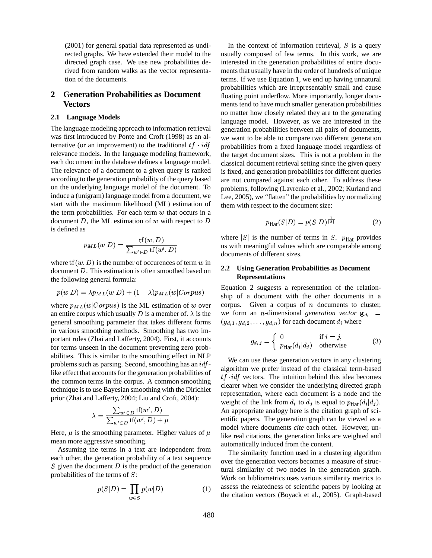(2001) for general spatial data represented as undirected graphs. We have extended their model to the directed graph case. We use new probabilities derived from random walks as the vector representation of the documents.

## **2 Generation Probabilities as Document Vectors**

#### **2.1 Language Models**

The language modeling approach to information retrieval was first introduced by Ponte and Croft (1998) as an alternative (or an improvement) to the traditional  $tf \cdot idf$  pr relevance models. In the language modeling framework, each document in the database defines a language model. The relevance of a document to a given query is ranked according to the generation probability of the query based on the underlying language model of the document. To induce a (unigram) language model from a document, we start with the maximum likelihood (ML) estimation of the term probabilities. For each term  $w$  that occurs in a document  $D$ , the ML estimation of  $w$  with respect to  $D$ is defined as

$$
p_{ML}(w|D) = \frac{\text{tf}(w, D)}{\sum_{w' \in D} \text{tf}(w', D)}
$$

where  $\text{tf}(w, D)$  is the number of occurences of term w in document  $D$ . This estimation is often smoothed based on the following general formula:

$$
p(w|D) = \lambda p_{ML}(w|D) + (1 - \lambda)p_{ML}(w|Corpus)
$$

where  $p_{ML}(w|Corpus)$  is the ML estimation of w over corp an entire corpus which usually D is a member of.  $\lambda$  is the W general smoothing parameter that takes different forms in various smoothing methods. Smoothing has two important roles (Zhai and Lafferty, 2004). First, it accounts for terms unseen in the document preventing zero probabilities. This is similar to the smoothing effect in NLP problems such as parsing. Second, smoothing has an  $\int df$ like effect that accounts for the generation probabilities of the common terms in the corpus. A common smoothing technique is to use Bayesian smoothing with the Dirichlet prior (Zhai and Lafferty, 2004; Liu and Croft, 2004):

$$
\lambda = \frac{\sum_{w' \in D} \text{tf}(w', D)}{\sum_{w' \in D} \text{tf}(w', D) + \mu}
$$

Here,  $\mu$  is the smoothing parameter. Higher values of  $\mu$  is the real mean more aggressive smoothing.

Assuming the terms in a text are independent from each other, the generation probability of a text sequence S given the document  $D$  is the product of the generation probabilities of the terms of  $S$ :

$$
p(S|D) = \prod_{w \in S} p(w|D) \tag{1}
$$

 probabilities from a fixed language model regardless of In the context of information retrieval,  $S$  is a query usually composed of few terms. In this work, we are interested in the generation probabilities of entire documents that usually have in the order of hundreds of unique terms. If we use Equation 1, we end up having unnatural probabilities which are irrepresentably small and cause floating point underflow. More importantly, longer documents tend to have much smaller generation probabilities no matter how closely related they are to the generating language model. However, as we are interested in the generation probabilities between all pairs of documents, we want to be able to compare two different generation the target document sizes. This is not a problem in the classical document retrieval setting since the given query is fixed, and generation probabilities for different queries are not compared against each other. To address these problems, following (Lavrenko et al., 2002; Kurland and Lee, 2005), we "flatten" the probabilities by normalizing them with respect to the document size:

$$
p_{\text{flat}}(S|D) = p(S|D)^{\frac{1}{|S|}} \tag{2}
$$

where  $|S|$  is the number of terms in S.  $p_{\text{flat}}$  provides us with meaningful values which are comparable among documents of different sizes.

#### **2.2 Using Generation Probabilities as Document Representations**

Equation 2 suggests a representation of the relationship of a document with the other documents in a corpus. Given a corpus of  $n$  documents to cluster, we form an *n*-dimensional *generation vector*  $\mathbf{g}_{d_i}$  =  $(g_{d_i 1}, g_{d_i 2}, \ldots, g_{d_i n})$  for each document  $d_i$  where

$$
g_{d_{i}j} = \begin{cases} 0 & \text{if } i = j, \\ p_{\text{flat}}(d_{i}|d_{j}) & \text{otherwise} \end{cases}
$$
 (3)

 We can use these generation vectors in any clustering algorithm we prefer instead of the classical term-based  $tf \cdot idf$  vectors. The intuition behind this idea becomes clearer when we consider the underlying directed graph representation, where each document is a node and the weight of the link from  $d_i$  to  $d_j$  is equal to  $p_{\text{flat}}(d_i|d_j)$ . An appropriate analogy here is the citation graph of scientific papers. The generation graph can be viewed as a model where documents *cite* each other. However, unlike real citations, the generation links are weighted and automatically induced from the content.

The similarity function used in a clustering algorithm over the generation vectors becomes a measure of structural similarity of two nodes in the generation graph. Work on bibliometrics uses various similarity metrics to assess the relatedness of scientific papers by looking at the citation vectors (Boyack et al., 2005). Graph-based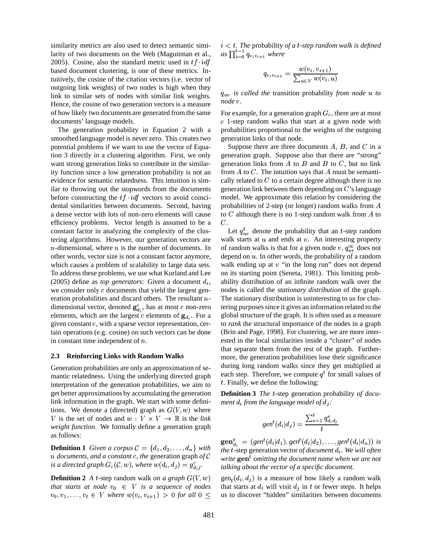similarity metrics are also used to detect semantic similarity of two documents on the Web (Maguitman et al., 2005). Cosine, also the standard metric used in  $tf \cdot idf$ based document clustering, is one of these metrics. Intuitively, the cosine of the citation vectors (i.e. vector of outgoing link weights) of two nodes is high when they link to similar sets of nodes with similar link weights. Hence, the cosine of two generation vectors is a measure of how likely two documents are generated from the same documents' language models.

The generation probability in Equation 2 with a smoothed language model is never zero. This creates two potential problems if we want to use the vector of Equation 3 directly in a clustering algorithm. First, we only want strong generation links to contribute in the similarity function since a low generation probability is not an evidence for semantic relatedness. This intuition is similar to throwing out the stopwords from the documents before constructing the  $tf \cdot idf$  vectors to avoid coincidental similarities between documents. Second, having a dense vector with lots of non-zero elements will cause efficiency problems. Vector length is assumed to be a constant factor in analyzing the complexity of the clustering algorithms. However, our generation vectors are *n*-dimensional, where  $n$  is the number of documents. In other words, vector size is not a constant factor anymore, which causes a problem of scalability to large data sets. To address these problems, we use what Kurland and Lee (2005) define as *top generators*: Given a document  $d_i$ , abili we consider only  $c$  documents that yield the largest generation probabilities and discard others. The resultant  $n$ - The sta dimensional vector, denoted  $\mathbf{g}_{d_i}^c$ , has at most c non-zero elements, which are the largest c elements of  $\mathbf{g}_{d_i}$ . For a given constant  $c$ , with a sparse vector representation, certain operations (e.g. cosine) on such vectors can be done in constant time independent of  $n$ .

#### **2.3 Reinforcing Links with Random Walks**

Generation probabilities are only an approximation of semantic relatedness. Using the underlying directed graph interpretation of the generation probabilities, we aim to get better approximations by accumulating the generation link information in the graph. We start with some definitions. We denote a (directed) graph as  $G(V, w)$  where V is the set of nodes and  $w : V \times V \to \mathbb{R}$  is the *link weight function*. We formally define a generation graph as follows:

**Definition 1** Given a corpus  $\mathcal{C} = \{d_1, d_2, \ldots, d_n\}$  with  $\uparrow$ *n* documents, and a constant c, the generation graph of  $\mathcal{C}_{\text{write}}$ *is a directed graph*  $G_c(\mathcal{C}, w)$ , where  $w(d_i, d_j) = g_{d_i j}^c$ , tal

**Definition 2** *A t*-step random walk *on a graph*  $G(V, w)$  gen<sub>t</sub> $(d_i, d_j)$ *that starts at node*  $v_0 \in V$  *is a sequence of nodes*  $v_0, v_1, \ldots, v_t \in V$  where  $w(v_i, v_{i+1}) > 0$  for all  $0 \leq w_i$  us to disco

 $i < t$ . The probability of a *t*-step random walk is defined as  $\prod_{i=0}^{t-1} q_{v_i v_{i+1}}$  where

$$
q_{v_i v_{i+1}} = \frac{w(v_i, v_{i+1})}{\sum_{u \in V} w(v_i, u)}
$$

 $q_{uv}$  *is called the transition probability from node u to node*  $v$ *.* 

For example, for a generation graph  $G_c$ , there are at most  $c$  1-step random walks that start at a given node with probabilities proportional to the weights of the outgoing generation links of that node.

Suppose there are three documents  $A$ ,  $B$ , and  $C$  in a generation graph. Suppose also that there are "strong" generation links from  $A$  to  $B$  and  $B$  to  $C$ , but no link from  $A$  to  $C$ . The intuition says that  $A$  must be semantically related to  $C$  to a certain degree although there is no generation link between them depending on  $C$ 's language model. We approximate this relation by considering the probabilities of 2-step (or longer) random walks from  $A$ to  $C$  although there is no 1-step random walk from  $A$  to  $C.$ 

Let  $q_{uv}^t$  denote the probability that an t-step random walk starts at  $u$  and ends at  $v$ . An interesting property of random walks is that for a given node v,  $q_{uv}^{\infty}$  does not depend on  $u$ . In other words, the probability of a random walk ending up at  $v$  "in the long run" does not depend on its starting point (Seneta, 1981). This limiting probability distribution of an infinite random walk over the nodes is called the *stationary distribution* of the graph. The stationary distribution is uninteresting to us for clustering purposes since it gives an information related to the global structure of the graph. It is often used as a measure to *rank* the structural importance of the nodes in a graph (Brin and Page, 1998). For clustering, we are more interested in the local similarities inside a "cluster" of nodes that separate them from the rest of the graph. Furthermore, the generation probabilities lose their significance during long random walks since they get multiplied at each step. Therefore, we compute  $q<sup>t</sup>$  for small values of  $t$ . Finally, we define the following:

Definition 3 *The t*-step generation probability of document  $d_i$  from the language model of  $d_j$ :

$$
gen^t(d_i|d_j)=\frac{\sum_{s=1}^t q^s_{d_i d_j}}{t}
$$

 : *talking about the vector of a specific document.*  $\textbf{gen}^{t}_{d_i} = (gen^{t}(d_i|d_1), gen^{t}(d_i|d_2), \ldots, gen^{t}(d_i|d_n))$  is *the t*-step generation vector *of document*  $d_i$ . We will often write  $\mathbf{gen}^t$  *omitting the document name when we are not* 

) gen $_{t}(d_{i}, d_{j})$  is a measure of how likely a random walk that starts at  $d_i$  will visit  $d_j$  in t or fewer steps. It helps us to discover "hidden" similarities between documents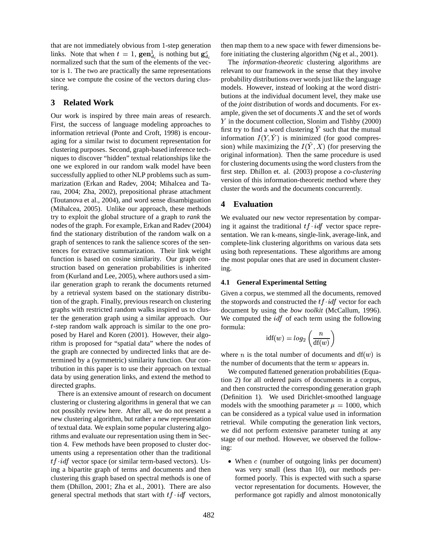that are not immediately obvious from 1-step generation links. Note that when  $t = 1$ ,  $\operatorname{gen}^1_{d_i}$  is nothing but  $\operatorname{g}^c_{d_i}$  fore init normalized such that the sum of the elements of the vector is 1. The two are practically the same representations since we compute the cosine of the vectors during clustering.

## **3 Related Work**

Our work is inspired by three main areas of research. First, the success of language modeling approaches to information retrieval (Ponte and Croft, 1998) is encouraging for a similar twist to document representation for clustering purposes. Second, graph-based inference techniques to discover "hidden" textual relationships like the one we explored in our random walk model have been successfully applied to other NLP problems such as summarization (Erkan and Radev, 2004; Mihalcea and Tarau, 2004; Zha, 2002), prepositional phrase attachment (Toutanova et al., 2004), and word sense disambiguation (Mihalcea, 2005). Unlike our approach, these methods try to exploit the global structure of a graph to *rank* the nodes of the graph. For example, Erkan and Radev (2004) find the stationary distribution of the random walk on a graph of sentences to rank the salience scores of the sentences for extractive summarization. Their link weight function is based on cosine similarity. Our graph construction based on generation probabilities is inherited from (Kurland and Lee, 2005), where authors used a similar generation graph to rerank the documents returned by a retrieval system based on the stationary distribution of the graph. Finally, previous research on clustering graphs with restricted random walks inspired us to cluster the generation graph using a similar approach. Our -step random walk approach is similar to the one proposed by Harel and Koren (2001). However, their algorithm is proposed for "spatial data" where the nodes of the graph are connected by undirected links that are determined by a (symmetric) similarity function. Our contribution in this paper is to use their approach on textual data by using generation links, and extend the method to directed graphs.

There is an extensive amount of research on document clustering or clustering algorithms in general that we can not possibly review here. After all, we do not present a new clustering algorithm, but rather a new representation of textual data. We explain some popular clustering algorithms and evaluate our representation using them in Section 4. Few methods have been proposed to cluster documents using a representation other than the traditional  $tf$  *idf* vector space (or similar term-based vectors). Using a bipartite graph of terms and documents and then clustering this graph based on spectral methods is one of them (Dhillon, 2001; Zha et al., 2001). There are also general spectral methods that start with  $tf \cdot idf$  vectors, then map them to a new space with fewer dimensions before initiating the clustering algorithm (Ng et al., 2001).

The *information-theoretic* clustering algorithms are relevant to our framework in the sense that they involve probability distributions over words just like the language models. However, instead of looking at the word distributions at the individual document level, they make use of the *joint* distribution of words and documents. For example, given the set of documents  $X$  and the set of words Y in the document collection, Slonim and Tishby (2000) first try to find a word clustering  $\hat{Y}$  such that the mutual information  $I(Y, \tilde{Y})$  is minimized (for good compression) while maximizing the  $I(Y, X)$  (for preserving the original information). Then the same procedure is used for clustering documents using the word clusters from the first step. Dhillon et. al. (2003) propose a *co-clustering* version of this information-theoretic method where they cluster the words and the documents concurrently.

### **4 Evaluation**

We evaluated our new vector representation by comparing it against the traditional  $tf \cdot idf$  vector space representation. We ran k-means, single-link, average-link, and complete-link clustering algorithms on various data sets using both representations. These algorithms are among the most popular ones that are used in document clustering.

#### **4.1 General Experimental Setting**

Given a corpus, we stemmed all the documents, removed the stopwords and constructed the  $tf\_idf$  vector for each document by using the *bow toolkit* (McCallum, 1996). We computed the  $\mathcal{U}$  of each term using the following formula:

$$
\text{idf}(w) = log_2\left(\frac{n}{\text{df}(w)}\right)
$$

where *n* is the total number of documents and  $df(w)$  is the number of documents that the term  $w$  appears in.

We computed flattened generation probabilities (Equation 2) for all ordered pairs of documents in a corpus, and then constructed the corresponding generation graph (Definition 1). We used Dirichlet-smoothed language models with the smoothing parameter  $\mu = 1000$ , which can be considered as a typical value used in information retrieval. While computing the generation link vectors, we did not perform extensive parameter tuning at any stage of our method. However, we observed the following:

 $\bullet$  When  $c$  (number of outgoing links per document) was very small (less than 10), our methods performed poorly. This is expected with such a sparse vector representation for documents. However, the performance got rapidly and almost monotonically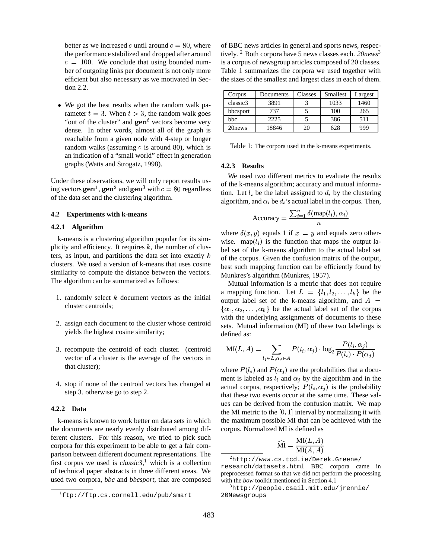better as we increased c until around  $c = 80$ , where the performance stabilized and dropped after around  $c = 100$ . We conclude that using bounded number of outgoing links per document is not only more efficient but also necessary as we motivated in Section 2.2.

 We got the best results when the random walk parameter  $t = 3$ . When  $t > 3$ , the random walk goes "out of the cluster" and  $\mathbf{gen}^t$  vectors become very dense. In other words, almost all of the graph is reachable from a given node with 4-step or longer random walks (assuming  $c$  is around 80), which is an indication of a "small world" effect in generation graphs (Watts and Strogatz, 1998).

Under these observations, we will only report results using vectors  $\mathbf{gen}^1$ ,  $\mathbf{gen}^2$  and  $\mathbf{gen}^3$  with  $c = 80$  regardless of the data set and the clustering algorithm.

#### **4.2 Experiments with k-means**

#### **4.2.1 Algorithm**

k-means is a clustering algorithm popular for its simplicity and efficiency. It requires  $k$ , the number of clusters, as input, and partitions the data set into exactly  $k$ clusters. We used a version of k-means that uses cosine similarity to compute the distance between the vectors. The algorithm can be summarized as follows:

- 1. randomly select  $k$  document vectors as the initial cluster centroids;
- 2. assign each document to the cluster whose centroid yields the highest cosine similarity;
- 3. recompute the centroid of each cluster. (centroid vector of a cluster is the average of the vectors in that cluster);
- 4. stop if none of the centroid vectors has changed at step 3. otherwise go to step 2.

#### **4.2.2 Data**

k-means is known to work better on data sets in which the documents are nearly evenly distributed among different clusters. For this reason, we tried to pick such corpora for this experiment to be able to get a fair comparison between different document representations. The first corpus we used is *classic3*, <sup>1</sup> which is a collection of technical paper abstracts in three different areas. We used two corpora, *bbc* and *bbcsport*, that are composed of BBC news articles in general and sports news, respectively. <sup>2</sup> Both corpora have 5 news classes each. *20news*<sup>3</sup> is a corpus of newsgroup articles composed of 20 classes. Table 1 summarizes the corpora we used together with the sizes of the smallest and largest class in each of them.

| Corpus   | Documents | Classes | <b>Smallest</b> | Largest |
|----------|-----------|---------|-----------------|---------|
| classic3 | 3891      |         | 1033            | 1460    |
| bbcsport | 737       |         | 100             | 265     |
| bbc      | 2225      |         | 386             | 511     |
| 20news   | 18846     | 21      | 628             | 999     |

Table 1: The corpora used in the k-means experiments.

#### **4.2.3 Results**

We used two different metrics to evaluate the results of the k-means algorithm; accuracy and mutual information. Let  $l_i$  be the label assigned to  $d_i$  by the clustering algorithm, and  $\alpha_i$  be  $d_i$ 's actual label in the corpus. Then,

$$
Accuracy = \frac{\sum_{i=1}^{n} \delta(\text{map}(l_i), \alpha_i)}{n}
$$

where  $\delta(x, y)$  equals 1 if  $x = y$  and equals zero otherwise. map( $l_i$ ) is the function that maps the output label set of the k-means algorithm to the actual label set of the corpus. Given the confusion matrix of the output, best such mapping function can be efficiently found by Munkres's algorithm (Munkres, 1957).

Mutual information is a metric that does not require a mapping function. Let  $L = \{l_1, l_2, \ldots, l_k\}$  be the output label set of the k-means algorithm, and  $A =$  $\{\alpha_1, \alpha_2, \ldots, \alpha_k\}$  be the actual label set of the corpus with the underlying assignments of documents to these sets. Mutual information (MI) of these two labelings is defined as:

$$
\mathrm{MI}(L, A) = \sum_{l_i \in L, \alpha_j \in A} P(l_i, \alpha_j) \cdot \log_2 \frac{P(l_i, \alpha_j)}{P(l_i) \cdot P(\alpha_j)}
$$

 $\blacksquare$ 

where  $P(l_i)$  and  $P(\alpha_j)$  are the probabilities that a document is labeled as  $l_i$  and  $\alpha_j$  by the algorithm and in the actual corpus, respectively;  $P(l_i, \alpha_i)$  is the probability that these two events occur at the same time. These values can be derived from the confusion matrix. We map the MI metric to the  $[0, 1]$  interval by normalizing it with the maximum possible MI that can be achieved with the corpus. Normalized MI is defined as

$$
\widehat{\mathrm{MI}} = \frac{\mathrm{MI}(L, A)}{\mathrm{MI}(A, A)}
$$

<sup>1</sup>ftp://ftp.cs.cornell.edu/pub/smart

 $^{2}$ http://www.cs.tcd.ie/Derek.Greene/ research/datasets.html BBC corpora came in preprocessed format so that we did not perform the processing with the *bow* toolkit mentioned in Section 4.1

<sup>3</sup>http://people.csail.mit.edu/jrennie/ 20Newsgroups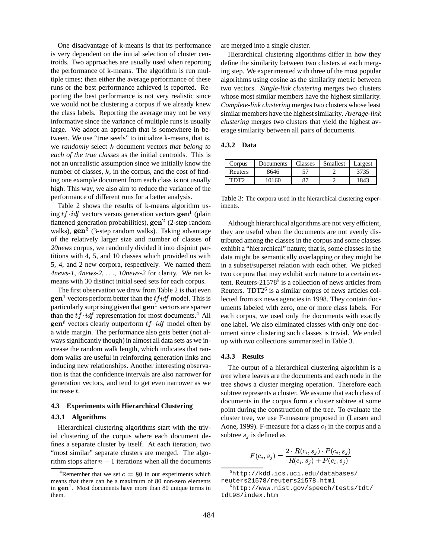One disadvantage of k-means is that its performance is very dependent on the initial selection of cluster centroids. Two approaches are usually used when reporting the performance of k-means. The algorithm is run multiple times; then either the average performance of these runs or the best performance achieved is reported. Reporting the best performance is not very realistic since we would not be clustering a corpus if we already knew the class labels. Reporting the average may not be very informative since the variance of multiple runs is usually large. We adopt an approach that is somewhere in between. We use "true seeds" to initialize k-means, that is, we *randomly* select *k* document vectors *that belong to each of the true classes* as the initial centroids. This is not an unrealistic assumption since we initially know the number of classes,  $k$ , in the corpus, and the cost of finding one example document from each class is not usually high. This way, we also aim to reduce the variance of the performance of different runs for a better analysis.

Table 2 shows the results of k-means algorithm using *tf*  $\cdot$ *idf* vectors versus generation vectors gen<sup>1</sup> (plain flattened generation probabilities),  $\text{gen}^2$  (2-step random walks),  $gen^3$  (3-step random walks). Taking advantage of the relatively larger size and number of classes of *20news* corpus, we randomly divided it into disjoint partitions with 4, 5, and 10 classes which provided us with 5, 4, and 2 new corpora, respectively. We named them *4news-1, 4news-2, ..., 10news-2* for clarity. We ran kmeans with 30 distinct initial seed sets for each corpus.

The first observation we draw from Table 2 is that even  $\mathbf{gen}^1$  vectors perform better than the  $tfidf$  model. This is particularly surprising given that  $\mathbf{gen}^1$  vectors are sparser than the  $tf \cdot idf$  representation for most documents.<sup>4</sup> All  $\mathbf{gen}^t$  vectors clearly outperform  $tf \cdot idf$  model often by a wide margin. The performance also gets better (not always significantly though) in almost all data sets as we increase the random walk length, which indicates that random walks are useful in reinforcing generation links and inducing new relationships. Another interesting observation is that the confidence intervals are also narrower for generation vectors, and tend to get even narrower as we increase  $t$ .

#### **4.3 Experiments with Hierarchical Clustering**

#### **4.3.1 Algorithms**

Hierarchical clustering algorithms start with the trivial clustering of the corpus where each document defines a separate cluster by itself. At each iteration, two "most similar" separate clusters are merged. The algorithm stops after  $n - 1$  iterations when all the documents are merged into a single cluster.

Hierarchical clustering algorithms differ in how they define the similarity between two clusters at each merging step. We experimented with three of the most popular algorithms using cosine as the similarity metric between two vectors. *Single-link clustering* merges two clusters whose most similar members have the highest similarity. *Complete-link clustering* merges two clusters whose least similar members have the highest similarity. *Average-link clustering* merges two clusters that yield the highest average similarity between all pairs of documents.

#### **4.3.2 Data**

| Corpus  | Documents | <b>Classes</b> | <b>Smallest</b> | Largest |
|---------|-----------|----------------|-----------------|---------|
| Reuters | 8646      | 57             |                 | 3735    |
| TDT2    | 10160     | 87             |                 | 1843    |

Table 3: The corpora used in the hierarchical clustering experiments.

Although hierarchical algorithms are not very efficient, they are useful when the documents are not evenly distributed among the classes in the corpus and some classes exhibit a "hierarchical" nature; that is, some classes in the data might be semantically overlapping or they might be in a subset/superset relation with each other. We picked two corpora that may exhibit such nature to a certain extent. Reuters- $21578<sup>5</sup>$  is a collection of news articles from Reuters. TDT2<sup>6</sup> is a similar corpus of news articles collected from six news agencies in 1998. They contain documents labeled with zero, one or more class labels. For each corpus, we used only the documents with exactly one label. We also eliminated classes with only one document since clustering such classes is trivial. We ended up with two collections summarized in Table 3.

#### **4.3.3 Results**

The output of a hierarchical clustering algorithm is a *tree* where leaves are the documents and each node in the tree shows a cluster merging operation. Therefore each subtree represents a cluster. We assume that each class of documents in the corpus form a cluster subtree at some point during the construction of the tree. To evaluate the cluster tree, we use F-measure proposed in (Larsen and Aone, 1999). F-measure for a class  $c_i$  in the corpus and a subtree  $s_i$  is defined as

$$
F(c_i, s_j) = \frac{2 \cdot R(c_i, s_j) \cdot P(c_i, s_j)}{R(c_i, s_j) + P(c_i, s_j)}
$$

 $5$ http://kdd.ics.uci.edu/databases/ reuters21578/reuters21578.html

<sup>&</sup>lt;sup>4</sup>Remember that we set  $c = 80$  in our experiments which means that there can be a maximum of 80 non-zero elements in  $\mathbf{gen}^1$ . Most documents have more than 80 unique terms in them.

<sup>6</sup>http://www.nist.gov/speech/tests/tdt/ tdt98/index.htm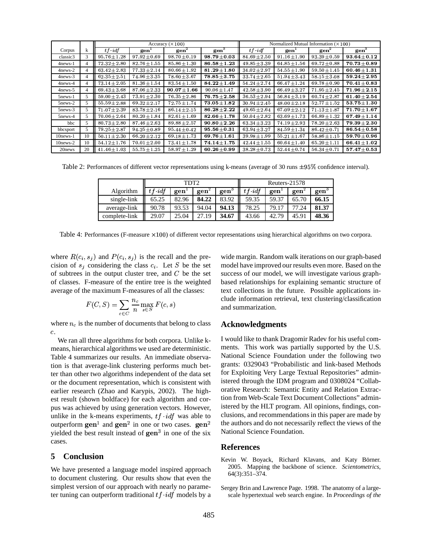|                |    | Accuracy $(\times 100)$ |                  |                  | Normalized Mutual Information $(\times 100)$ |                   |                  |                  |                  |
|----------------|----|-------------------------|------------------|------------------|----------------------------------------------|-------------------|------------------|------------------|------------------|
| Corpus         |    | $tf \cdot idf$          | gen <sup>1</sup> | gen <sup>2</sup> | gen <sup>3</sup>                             | $tf \textit{idf}$ | gen <sup>1</sup> | gen <sup>2</sup> | gen <sup>3</sup> |
| classic3       | 3  | $95.76 \pm 1.28$        | $97.92 \pm 0.69$ | $98.70 \pm 0.19$ | $98.79 \!\pm\! 0.03$                         | $84.69 \pm 2.50$  | $91.16 \pm 1.90$ | $93.39 \pm 0.59$ | $93.64 \pm 0.12$ |
| $4$ news- $1$  | 4  | $72.32 \pm 2.80$        | $82.76 \pm 1.55$ | $85.86 \pm 1.30$ | $86.58 \pm 1.23$                             | 49.85 $\pm$ 3.39  | $64.85 \pm 1.56$ | $69.72 \pm 0.88$ | $70.73 \pm 0.89$ |
| 4news-2        | 4  | $63.42 \pm 2.83$        | $77.33 \pm 2.14$ | $80.66 \pm 1.92$ | $81.29 \pm 1.80$                             | $34.02 \pm 2.97$  | $54.55 \pm 1.90$ | $59.50 \pm 1.45$ | 60.46 $\pm$ 1.31 |
| $4$ news- $3$  | 4  | $62.35 \pm 2.51$        | $74.96 \pm 3.35$ | $78.60 \pm 3.67$ | $78.85 \pm 3.75$                             | $33.74 \pm 2.65$  | $51.94 \pm 3.43$ | $58.15 \pm 3.08$ | $59.24 \pm 2.95$ |
| $4$ news- $4$  | 4  | $73.14 \pm 2.05$        | $81.36 \pm 1.54$ | $83.54 \pm 1.50$ | $84.22 \pm 1.49$                             | $54.24 \pm 2.74$  | $66.47 \pm 1.24$ | $69.78 \pm 0.90$ | $70.41 \pm 0.83$ |
| 4news-5        | 4  | $69.43 \pm 3.68$        | $87.06 \pm 2.33$ | $90.07 \pm 1.66$ | $90.06 \pm 1.47$                             | $42.58 \pm 3.90$  | $66.49 \pm 3.27$ | $71.95 \pm 2.45$ | $71.96 \pm 2.15$ |
| $5$ news- $1$  | 5  | $59.00 \pm 2.43$        | $73.91 \pm 2.30$ | $76.35 \pm 2.86$ | $76.75\pm2.58$                               | $36.53 \pm 2.94$  | $56.84 \pm 3.19$ | $60.74 \pm 2.87$ | $61.40 \pm 2.54$ |
| 5news-2        | 5  | $55.59 \pm 2.88$        | $69.32 \pm 2.17$ | $72.75 \pm 1.74$ | $73.05 \pm 1.82$                             | $30.94 \pm 2.45$  | $48.00 \pm 2.18$ | $52.77 \pm 1.52$ | $53.75 \pm 1.30$ |
| $5$ news- $3$  | 5  | $71.07 \pm 2.39$        | $83.78 \pm 2.16$ | $86.14 \pm 2.15$ | $86.28 \pm 2.22$                             | $49.65 \pm 2.64$  | $67.09 \pm 2.12$ | $71.13 \pm 1.87$ | $71.70 \pm 1.67$ |
| $5$ news-4     | 5  | $70.06 \pm 2.64$        | $80.20 \pm 1.84$ | $82.61 \pm 1.69$ | $82.66 \pm 1.78$                             | $50.04 \pm 2.82$  | $63.69 \pm 1.73$ | $66.89 \pm 1.32$ | $67.49 \pm 1.14$ |
| bbc            | 5  | $80.73 \pm 2.80$        | $87.46 \pm 2.63$ | $89.88 \pm 2.57$ | $90.80 \pm 2.26$                             | $63.34 \pm 3.23$  | $74.19 \pm 2.93$ | $78.20 \pm 2.63$ | $79.39 \pm 2.30$ |
| bbcsport       | 5  | $79.25 \pm 2.87$        | $94.25 \pm 0.89$ | $95.44 \pm 0.42$ | $95.56 \pm 0.31$                             | $63.94 \pm 3.27$  | $84.59 \pm 1.34$ | $86.42 \pm 0.71$ | $86.54 \pm 0.58$ |
| $10$ news- $1$ | 10 | $50.11 \pm 2.30$        | $66.20 \pm 2.12$ | 69.18 $\pm$ 1.73 | $69.76 \pm 1.61$                             | $39.98 \pm 1.99$  | $55.21 \pm 1.67$ | $58.86 \pm 1.15$ | $59.70 \pm 0.96$ |
| $10$ news- $2$ | 10 | $54.12 + 1.76$          | $70.01 \pm 2.00$ | $73.41 \pm 1.78$ | $74.14\pm1.75$                               | $42.44 + 1.55$    | $60.64 \pm 1.40$ | $65.20 \pm 1.11$ | $66.41 \pm 1.02$ |
| 20 news        | 20 | $41.46 \pm 1.03$        | 55.75 $\pm$ 1.25 | $58.97 \pm 1.29$ | $60.26 \pm 0.99$                             | $38.28 \pm 0.73$  | $52.44 \pm 0.74$ | $56.34 \pm 0.71$ | $57.47\pm0.53$   |

Table 2: Performances of different vector representations using k-means (average of 30 runs  $\pm 95\%$  confidence interval).

|                  | TDT2              |       |       | Reuters-21578    |                   |       |       |                  |
|------------------|-------------------|-------|-------|------------------|-------------------|-------|-------|------------------|
| <b>Algorithm</b> | $tf \textit{idf}$ | gen   | gen   | gen <sup>3</sup> | $tf \textit{idf}$ | gen   | gen   | gen <sup>3</sup> |
| single-link      | 65.25             | 82.96 | 84.22 | 83.92            | 59.35             | 59.37 | 65.70 | 66.15            |
| average-link     | 90.78             | 93.53 | 94.04 | 94.13            | 78.25             | 79.17 | 77.24 | 81.37            |
| complete-link    | 29.07             | 25.04 | 27.19 | 34.67            | 43.66             | 42.79 | 45.91 | 48.36            |

Table 4: Performances (F-measure  $\times$ 100) of different vector representations using hierarchical algorithms on two corpora.

where  $R(c_i, s_j)$  and  $P(c_i, s_j)$  is the recall and the precision of  $s_i$  considering the class  $c_i$ . Let S be the set of subtrees in the output cluster tree, and  $C$  be the set of classes. F-measure of the entire tree is the weighted average of the maximum F-measures of all the classes:

$$
F(C, S) = \sum_{c \in C} \frac{n_c}{n} \max_{s \in S} F(c, s)
$$

where  $n_c$  is the number of documents that belong to class  $\mathfrak{c}.$ 

We ran all three algorithms for both corpora. Unlike kmeans, hierarchical algorithms we used are deterministic. Table 4 summarizes our results. An immediate observation is that average-link clustering performs much better than other two algorithms independent of the data set or the document representation, which is consistent with earlier research (Zhao and Karypis, 2002). The highest result (shown boldface) for each algorithm and corpus was achieved by using generation vectors. However, unlike in the k-means experiments,  $tf \cdot idf$  was able to outperform  $\mathbf{gen}^1$  and  $\mathbf{gen}^2$  in one or two cases.  $\mathbf{gen}^2$  the author yielded the best result instead of  $gen<sup>3</sup>$  in one of the six cases.

#### **5 Conclusion**

We have presented a language model inspired approach to document clustering. Our results show that even the simplest version of our approach with nearly no parameter tuning can outperform traditional  $tf\_idf$  models by a

wide margin. Random walk iterations on our graph-based model have improved our results even more. Based on the success of our model, we will investigate various graphbased relationships for explaining semantic structure of text collections in the future. Possible applications include information retrieval, text clustering/classification and summarization.

### **Acknowledgments**

<sup>2</sup> the authors and do not necessarily reflect the views of the I would like to thank Dragomir Radev for his useful comments. This work was partially supported by the U.S. National Science Foundation under the following two grants: 0329043 "Probabilistic and link-based Methods for Exploiting Very Large Textual Repositories" administered through the IDM program and 0308024 "Collaborative Research: Semantic Entity and Relation Extraction from Web-Scale Text Document Collections" administered by the HLT program. All opinions, findings, conclusions, and recommendations in this paper are made by National Science Foundation.

### **References**

- Kevin W. Boyack, Richard Klavans, and Katy Börner. 2005. Mapping the backbone of science. *Scientometrics*, 64(3):351–374.
- Sergey Brin and Lawrence Page. 1998. The anatomy of a largescale hypertextual web search engine. In *Proceedings of the*